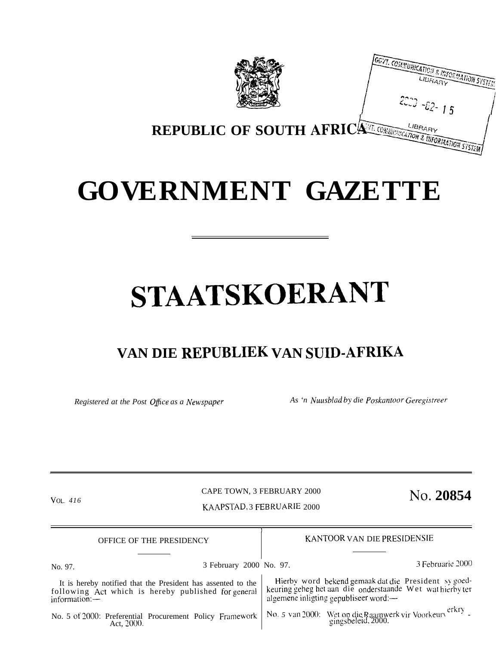

## **GOVERNMENT GAZETTE**

# **STAATSKOERANT**

### **VAN DIE REPUBLIEK VAN SUID-AFRIKA**

Act, 2000.

*Registered at the Post Office as a Newspaper As 'n Nuusblad by die Poskantoor Geregistreer* 

CAPE TOWN, 3 FEBRUARY 2000 <sup>VOL.</sup> 416 **NO.** 200854 KAAPSTAD, 3 FEBRUARIE 2000

) OFFICE OF THE PRESIDENCY SALL STANDOR VAN DIE PRESIDENSIE No. 97. 3 February 2000 No. 97. <sup>3</sup> Februarie <sup>2000</sup> It is hereby notified that the President has assented to the following Act which is hereby published for general information:-No. 5 of 2000: Preferential Procurement Policy Framework Hierby word bekend gemaak dat die President sy goedkeuring geheg het aan die onderstaande Wet wat hierby ter algemene inligting gepubliseer word:— No. 5 van 2000: Wet op die Raamwerk vir Voorkeurv<sup>erkry</sup> -<br>gingsbeleid, 2000.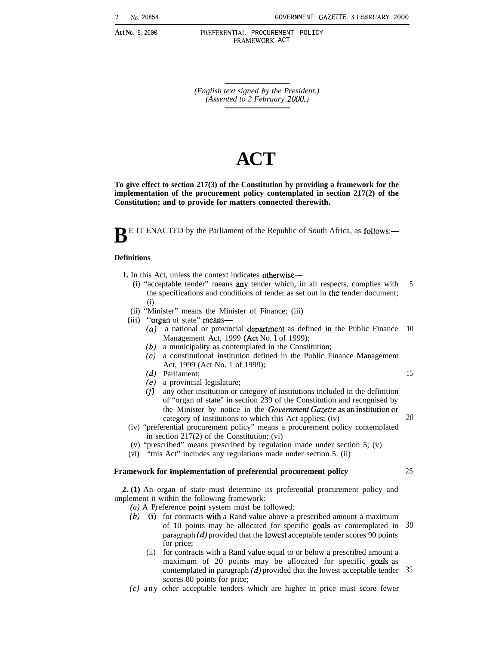Act No. 5,2000 PREFERENTIAL PROCUREMENT POLICY FRAMEWORK ACT

> *(English text signed by the President.) (Assented to 2 February 2000.)*

## **ACT**

**To give effect to section 217(3) of the Constitution by providing a framework for the implementation of the procurement policy contemplated in section 217(2) of the Constitution; and to provide for matters connected therewith.**

**B** E IT ENACTED by the Parliament of the Republic of South Africa, as follows:—

#### **Definitions**

- **1.** In this Act, unless the context indicates otherwise—
	- (i) "acceptable tender" means any tender which, in all respects, complies with the specifications and conditions of tender as set out in the tender document; (i) 5
	- (ii) "Minister" means the Minister of Finance; (iii)
	- (iii) "organ of state" means—
		- *(a)* a national or provincial department as defined in the Public Finance Management Act, 1999 (Act No. 1 of 1999); 10

15

*20*

25

- *(b)* a municipality as contemplated in the Constitution;
- *(c)* a constitutional institution defined in the Public Finance Management Act, 1999 (Act No. 1 of 1999);
- *(d)* Parliament;
- *(e)* a provincial legislature;
- *m* any other institution or category of institutions included in the definition of "organ of state" in section 239 of the Constitution and recognised by the Minister by notice in the *Governrnent Gazette as an institution or* category of institutions to which this Act applies; (iv)
- (iv) "preferential procurement policy" means a procurement policy contemplated in section 217(2) of the Constitution; (vi)
- (v) "prescribed" means prescribed by regulation made under section 5; (v)
- (vi) "this Act" includes any regulations made under section 5. (ii)

#### Framework for implementation of preferential procurement policy

**2. (1)** An organ of state must determine its preferential procurement policy and implement it within the following framework:

- *(a)* A Preference point system must be followed;
- (b) (i) for contracts with a Rand value above a prescribed amount a maximum of 10 points may be allocated for specific gods as contemplated in paragraph *(d)* provided that the lowest acceptable tender scores 90 points for price; *30*
	- (ii) for contracts with a Rand value equal to or below a prescribed amount a maximum of 20 points may be allocated for specific gods as contemplated in paragraph *(d)* provided that the lowest acceptable tender *35*scores 80 points for price;
- $(c)$  any other acceptable tenders which are higher in price must score fewer